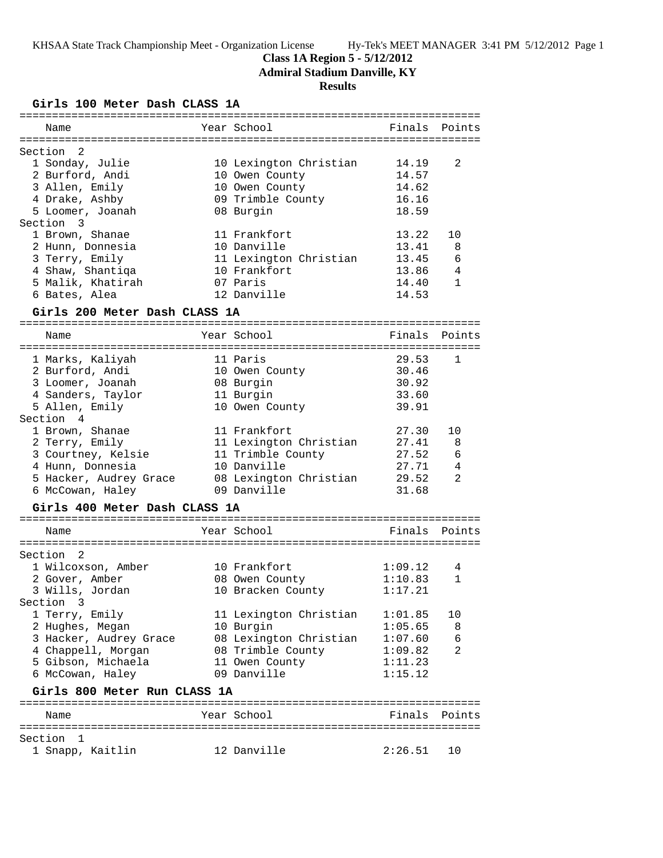## **Class 1A Region 5 - 5/12/2012**

**Admiral Stadium Danville, KY**

# **Results**

**Girls 100 Meter Dash CLASS 1A**

|                               | Name                      |  | Year School            | Finals | Points         |  |  |
|-------------------------------|---------------------------|--|------------------------|--------|----------------|--|--|
|                               | Section<br>$\overline{2}$ |  |                        |        |                |  |  |
|                               | 1 Sonday, Julie           |  | 10 Lexington Christian | 14.19  | $\mathfrak{D}$ |  |  |
|                               | 2 Burford, Andi           |  | 10 Owen County         | 14.57  |                |  |  |
|                               | 3 Allen, Emily            |  | 10 Owen County         | 14.62  |                |  |  |
|                               | 4 Drake, Ashby            |  | 09 Trimble County      | 16.16  |                |  |  |
|                               | 5 Loomer, Joanah          |  | 08 Burgin              | 18.59  |                |  |  |
|                               | Section 3                 |  |                        |        |                |  |  |
|                               | 1 Brown, Shanae           |  | 11 Frankfort           | 13.22  | 10             |  |  |
|                               | 2 Hunn, Donnesia          |  | 10 Danville            | 13.41  | - 8            |  |  |
|                               | 3 Terry, Emily            |  | 11 Lexington Christian | 13.45  | 6              |  |  |
|                               | 4 Shaw, Shantiqa          |  | 10 Frankfort           | 13.86  | $\overline{4}$ |  |  |
|                               | 5 Malik, Khatirah         |  | 07 Paris               | 14.40  | 1              |  |  |
|                               | 6 Bates, Alea             |  | 12 Danville            | 14.53  |                |  |  |
| Girls 200 Meter Dash CLASS 1A |                           |  |                        |        |                |  |  |
|                               | Name                      |  | Year School            | Finals | Points         |  |  |
|                               | 1 Marks, Kaliyah          |  | 11 Paris               | 29.53  | $\mathbf{1}$   |  |  |

| I Marys, variyan       | II FALIS               | 29.93 |    |
|------------------------|------------------------|-------|----|
| 2 Burford, Andi        | 10 Owen County         | 30.46 |    |
| 3 Loomer, Joanah       | 08 Burgin              | 30.92 |    |
| 4 Sanders, Taylor      | 11 Burgin              | 33.60 |    |
| 5 Allen, Emily         | 10 Owen County         | 39.91 |    |
| Section 4              |                        |       |    |
| 1 Brown, Shanae        | 11 Frankfort           | 27.30 | 10 |
| 2 Terry, Emily         | 11 Lexington Christian | 27.41 | 8  |
| 3 Courtney, Kelsie     | 11 Trimble County      | 27.52 | 6  |
| 4 Hunn, Donnesia       | 10 Danville            | 27.71 | 4  |
| 5 Hacker, Audrey Grace | 08 Lexington Christian | 29.52 | 2  |
| 6 McCowan, Haley       | 09 Danville            | 31.68 |    |
|                        |                        |       |    |

## **Girls 400 Meter Dash CLASS 1A**

| Name                         | Year School            | Finals Points |                |
|------------------------------|------------------------|---------------|----------------|
|                              |                        |               |                |
| Section<br>$\overline{2}$    |                        |               |                |
| 1 Wilcoxson, Amber           | 10 Frankfort           | 1:09.12       | 4              |
| 2 Gover, Amber               | 08 Owen County         | 1:10.83       | 1              |
| 3 Wills, Jordan              | 10 Bracken County      | 1:17.21       |                |
| Section 3                    |                        |               |                |
| 1 Terry, Emily               | 11 Lexington Christian | 1:01.85       | 10             |
| 2 Hughes, Megan              | 10 Burgin              | 1:05.65       | 8              |
| 3 Hacker, Audrey Grace       | 08 Lexington Christian | 1:07.60       | 6              |
| 4 Chappell, Morgan           | 08 Trimble County      | 1:09.82       | $\mathfrak{D}$ |
| 5 Gibson, Michaela           | 11 Owen County         | 1:11.23       |                |
| 6 McCowan, Haley             | 09 Danville            | 1:15.12       |                |
| Girls 800 Meter Run CLASS 1A |                        |               |                |
|                              |                        |               |                |
| Name                         | Year School            | Finals        | Points         |
|                              |                        |               |                |
| Section                      |                        |               |                |

1 Snapp, Kaitlin 12 Danville 2:26.51 10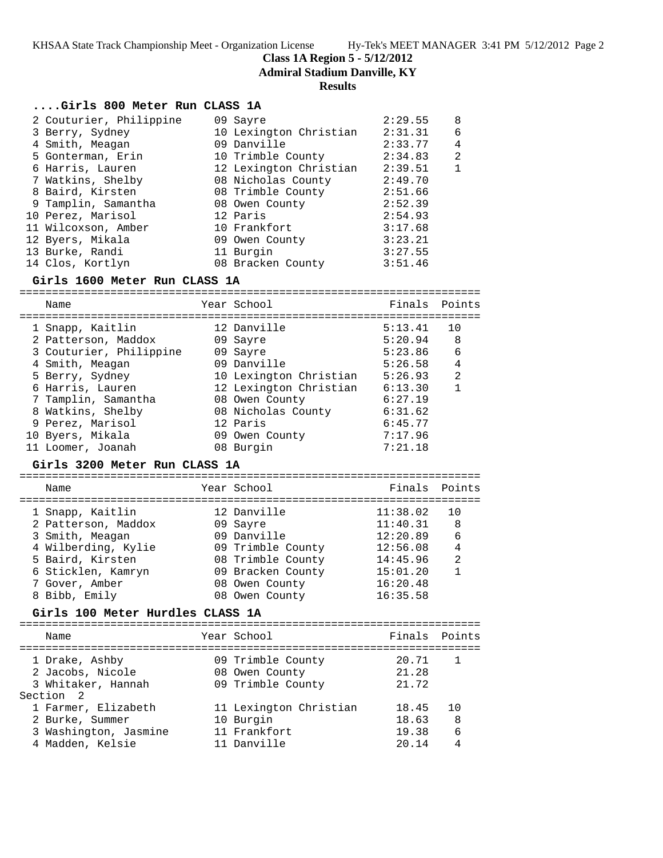**Class 1A Region 5 - 5/12/2012**

**Admiral Stadium Danville, KY**

### **Results**

## **....Girls 800 Meter Run CLASS 1A**

|                                                                                                                                                                                                                                                                               | 2:29.55                                                                                                                                                                                                                                       | 8            |
|-------------------------------------------------------------------------------------------------------------------------------------------------------------------------------------------------------------------------------------------------------------------------------|-----------------------------------------------------------------------------------------------------------------------------------------------------------------------------------------------------------------------------------------------|--------------|
|                                                                                                                                                                                                                                                                               | 2:31.31                                                                                                                                                                                                                                       | 6            |
|                                                                                                                                                                                                                                                                               | 2:33.77                                                                                                                                                                                                                                       | 4            |
|                                                                                                                                                                                                                                                                               | 2:34.83                                                                                                                                                                                                                                       | 2            |
|                                                                                                                                                                                                                                                                               | 2:39.51                                                                                                                                                                                                                                       | $\mathbf{1}$ |
|                                                                                                                                                                                                                                                                               | 2:49.70                                                                                                                                                                                                                                       |              |
|                                                                                                                                                                                                                                                                               | 2:51.66                                                                                                                                                                                                                                       |              |
|                                                                                                                                                                                                                                                                               | 2:52.39                                                                                                                                                                                                                                       |              |
|                                                                                                                                                                                                                                                                               | 2:54.93                                                                                                                                                                                                                                       |              |
|                                                                                                                                                                                                                                                                               | 3:17.68                                                                                                                                                                                                                                       |              |
|                                                                                                                                                                                                                                                                               | 3:23.21                                                                                                                                                                                                                                       |              |
|                                                                                                                                                                                                                                                                               | 3:27.55                                                                                                                                                                                                                                       |              |
|                                                                                                                                                                                                                                                                               | 3:51.46                                                                                                                                                                                                                                       |              |
| 2 Couturier, Philippine<br>3 Berry, Sydney<br>4 Smith, Meagan<br>5 Gonterman, Erin<br>6 Harris, Lauren<br>7 Watkins, Shelby<br>8 Baird, Kirsten<br>9 Tamplin, Samantha<br>10 Perez, Marisol<br>11 Wilcoxson, Amber<br>12 Byers, Mikala<br>13 Burke, Randi<br>14 Clos, Kortlyn | 09 Sayre<br>10 Lexington Christian<br>09 Danville<br>10 Trimble County<br>12 Lexington Christian<br>08 Nicholas County<br>08 Trimble County<br>08 Owen County<br>12 Paris<br>10 Frankfort<br>09 Owen County<br>11 Burgin<br>08 Bracken County |              |

#### **Girls 1600 Meter Run CLASS 1A**

======================================================================= Name The Year School The Finals Points ======================================================================= 1 Snapp, Kaitlin 12 Danville 5:13.41 10 2 Patterson, Maddox 09 Sayre 5:20.94 8 3 Couturier, Philippine 09 Sayre 5:23.86 6 4 Smith, Meagan 09 Danville 5:26.58 4 5 Berry, Sydney 10 Lexington Christian 5:26.93 2 6 Harris, Lauren 12 Lexington Christian 6:13.30 1 7 Tamplin, Samantha 08 Owen County 6:27.19 8 Watkins, Shelby 08 Nicholas County 6:31.62 9 Perez, Marisol 12 Paris 6:45.77 10 Byers, Mikala 09 Owen County 7:17.96 11 Loomer, Joanah 08 Burgin 7:21.18

#### **Girls 3200 Meter Run CLASS 1A**

## ======================================================================= Name The Year School The Points Points ======================================================================= 1 Snapp, Kaitlin 12 Danville 11:38.02 10 2 Patterson, Maddox 09 Sayre 11:40.31 8 3 Smith, Meagan 09 Danville 12:20.89 6 4 Wilberding, Kylie 09 Trimble County 12:56.08 4 5 Baird, Kirsten 08 Trimble County 14:45.96 2 6 Sticklen, Kamryn 09 Bracken County 15:01.20 1 7 Gover, Amber 08 Owen County 16:20.48 8 Bibb, Emily 08 Owen County 16:35.58

## **Girls 100 Meter Hurdles CLASS 1A**

| Name                                                                                | Year School                                                        | Finals Points                    |                |
|-------------------------------------------------------------------------------------|--------------------------------------------------------------------|----------------------------------|----------------|
| 1 Drake, Ashby<br>2 Jacobs, Nicole<br>3 Whitaker, Hannah<br>Section 2               | 09 Trimble County<br>08 Owen County<br>09 Trimble County           | 20.71<br>21.28<br>21.72          | $\overline{1}$ |
| 1 Farmer, Elizabeth<br>2 Burke, Summer<br>3 Washington, Jasmine<br>4 Madden, Kelsie | 11 Lexington Christian<br>10 Burgin<br>11 Frankfort<br>11 Danville | 18.45<br>18.63<br>19.38<br>20.14 | 10<br>8<br>6   |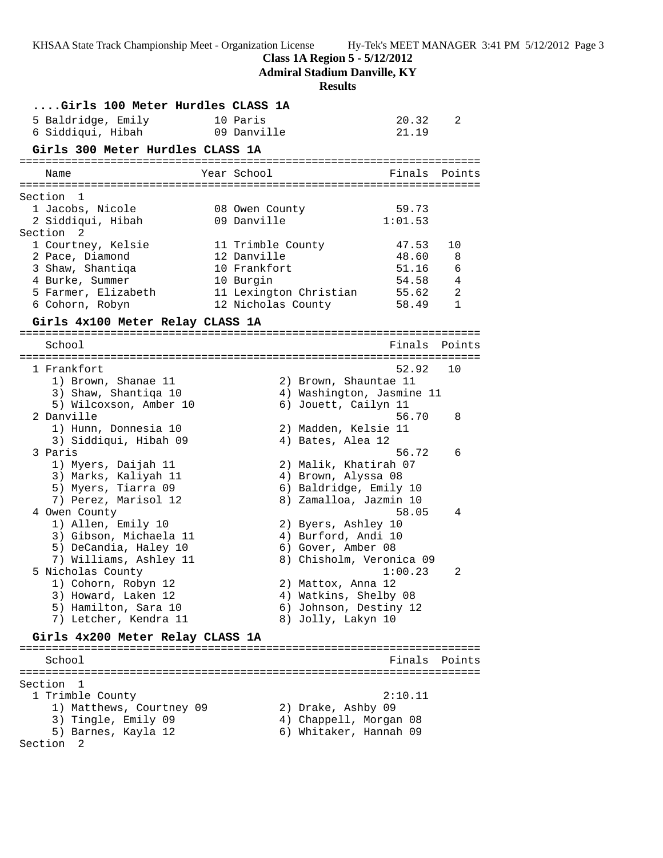**Class 1A Region 5 - 5/12/2012**

**Admiral Stadium Danville, KY**

**Results**

| Girls 100 Meter Hurdles CLASS 1A            |                    |                                                  |                  |              |
|---------------------------------------------|--------------------|--------------------------------------------------|------------------|--------------|
| 5 Baldridge, Emily                          | 10 Paris           |                                                  | 20.32            | 2            |
| 6 Siddiqui, Hibah                           | 09 Danville        |                                                  | 21.19            |              |
| Girls 300 Meter Hurdles CLASS 1A            |                    |                                                  |                  |              |
|                                             |                    |                                                  |                  |              |
| Name                                        | Year School        |                                                  | Finals Points    |              |
|                                             |                    |                                                  |                  |              |
| Section<br>$\mathbf{1}$                     |                    |                                                  |                  |              |
| 1 Jacobs, Nicole                            | 08 Owen County     |                                                  | 59.73<br>1:01.53 |              |
| 2 Siddiqui, Hibah<br>Section <sub>2</sub>   | 09 Danville        |                                                  |                  |              |
| 1 Courtney, Kelsie                          | 11 Trimble County  |                                                  | 47.53            | 10           |
| 2 Pace, Diamond                             | 12 Danville        |                                                  | 48.60            | 8            |
| 3 Shaw, Shantiga                            | 10 Frankfort       |                                                  | 51.16            | 6            |
| 4 Burke, Summer                             | 10 Burgin          |                                                  | 54.58            | 4            |
| 5 Farmer, Elizabeth                         |                    | 11 Lexington Christian                           | 55.62            | 2            |
| 6 Cohorn, Robyn                             | 12 Nicholas County |                                                  | 58.49            | $\mathbf{1}$ |
|                                             |                    |                                                  |                  |              |
| Girls 4x100 Meter Relay CLASS 1A            |                    |                                                  |                  |              |
| School                                      |                    |                                                  | Finals           | Points       |
|                                             |                    |                                                  |                  |              |
| 1 Frankfort                                 |                    |                                                  | 52.92            | 10           |
| 1) Brown, Shanae 11                         |                    | 2) Brown, Shauntae 11                            |                  |              |
| 3) Shaw, Shantiqa 10                        |                    | 4) Washington, Jasmine 11                        |                  |              |
| 5) Wilcoxson, Amber 10                      |                    | 6) Jouett, Cailyn 11                             |                  |              |
| 2 Danville                                  |                    |                                                  | 56.70            | 8            |
| 1) Hunn, Donnesia 10                        |                    | 2) Madden, Kelsie 11                             |                  |              |
| 3) Siddiqui, Hibah 09                       |                    | 4) Bates, Alea 12                                |                  |              |
| 3 Paris                                     |                    |                                                  | 56.72            | 6            |
| 1) Myers, Daijah 11                         |                    | 2) Malik, Khatirah 07                            |                  |              |
| 3) Marks, Kaliyah 11                        |                    | 4) Brown, Alyssa 08                              |                  |              |
| 5) Myers, Tiarra 09<br>7) Perez, Marisol 12 |                    | 6) Baldridge, Emily 10<br>8) Zamalloa, Jazmin 10 |                  |              |
| 4 Owen County                               |                    |                                                  | 58.05            | 4            |
| 1) Allen, Emily 10                          |                    | 2) Byers, Ashley 10                              |                  |              |
| 3) Gibson, Michaela 11                      |                    | 4) Burford, Andi 10                              |                  |              |
| 5) DeCandia, Haley 10                       |                    | 6) Gover, Amber 08                               |                  |              |
| 7) Williams, Ashley 11                      |                    | 8) Chisholm, Veronica 09                         |                  |              |
| 5 Nicholas County                           |                    |                                                  | 1:00.23          | 2            |
| 1) Cohorn, Robyn 12                         |                    | 2) Mattox, Anna 12                               |                  |              |
| 3) Howard, Laken 12                         |                    | 4) Watkins, Shelby 08                            |                  |              |
| 5) Hamilton, Sara 10                        |                    | 6) Johnson, Destiny 12                           |                  |              |
| 7) Letcher, Kendra 11                       |                    | 8) Jolly, Lakyn 10                               |                  |              |
| Girls 4x200 Meter Relay CLASS 1A            |                    |                                                  |                  |              |
|                                             |                    |                                                  |                  |              |
| School                                      |                    |                                                  | Finals Points    |              |
|                                             |                    |                                                  |                  |              |
| Section<br>-1                               |                    |                                                  |                  |              |
| 1 Trimble County                            |                    |                                                  | 2:10.11          |              |
| 1) Matthews, Courtney 09                    |                    | 2) Drake, Ashby 09                               |                  |              |
| 3) Tingle, Emily 09                         |                    | 4) Chappell, Morgan 08                           |                  |              |
| 5) Barnes, Kayla 12<br>Section<br>2         |                    | 6) Whitaker, Hannah 09                           |                  |              |
|                                             |                    |                                                  |                  |              |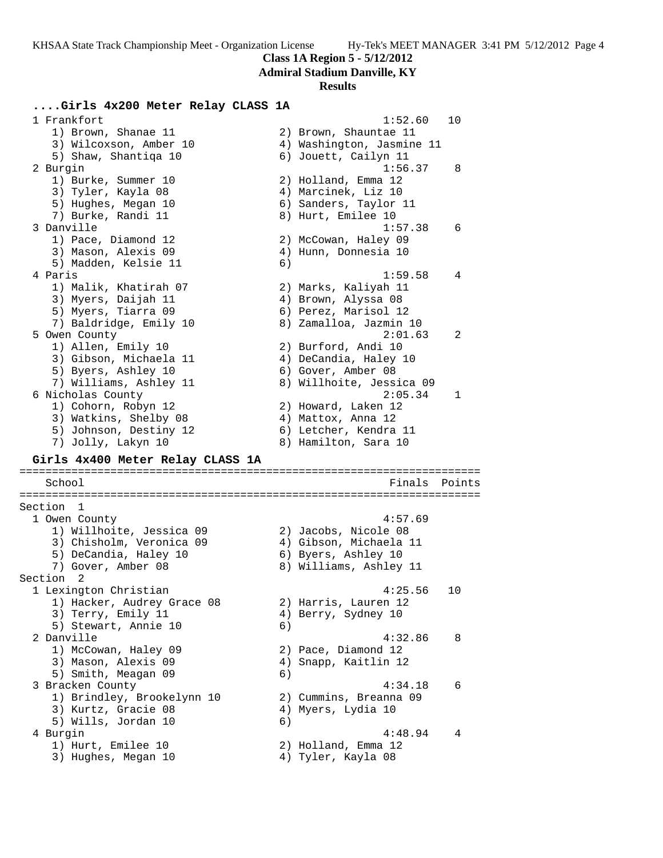**Class 1A Region 5 - 5/12/2012**

**Admiral Stadium Danville, KY**

#### **Results**

## **....Girls 4x200 Meter Relay CLASS 1A**

 1 Frankfort 1:52.60 10 1) Brown, Shanae 11 2) Brown, Shauntae 11 3) Wilcoxson, Amber 10 4) Washington, Jasmine 11 5) Shaw, Shantiqa 10  $\qquad \qquad$  6) Jouett, Cailyn 11 2 Burgin 1:56.37 8 1) Burke, Summer 10 2) Holland, Emma 12 3) Tyler, Kayla 08 4) Marcinek, Liz 10 5) Hughes, Megan 10 6) Sanders, Taylor 11 7) Burke, Randi 11 and 8) Hurt, Emilee 10 3 Danville 1:57.38 6 1) Pace, Diamond 12 2) McCowan, Haley 09 3) Mason, Alexis 09 (4) Hunn, Donnesia 10 5) Madden, Kelsie 11 (6) 4 Paris 1:59.58 4 1) Malik, Khatirah 07 2) Marks, Kaliyah 11 3) Myers, Daijah 11  $\hskip1cm 4$ ) Brown, Alyssa 08 5) Myers, Tiarra 09 (6) Perez, Marisol 12 7) Baldridge, Emily 10 8) Zamalloa, Jazmin 10 5 Owen County 2:01.63 2 1) Allen, Emily 10 2) Burford, Andi 10 3) Gibson, Michaela 11 4) DeCandia, Haley 10 5) Byers, Ashley 10 6) Gover, Amber 08 7) Williams, Ashley 11 8) Willhoite, Jessica 09 6 Nicholas County 2:05.34 1 1) Cohorn, Robyn 12 2) Howard, Laken 12 3) Watkins, Shelby 08 (4) Mattox, Anna 12 5) Johnson, Destiny 12 6) Letcher, Kendra 11 7) Jolly, Lakyn 10  $\,$  8) Hamilton, Sara 10  $\,$ **Girls 4x400 Meter Relay CLASS 1A** ======================================================================= School Finals Points ======================================================================= Section 1<br>1 Owen County 1 Owen County 4:57.69 1) Willhoite, Jessica 09 2) Jacobs, Nicole 08 3) Chisholm, Veronica 09 4) Gibson, Michaela 11 5) DeCandia, Haley 10  $\,$  6) Byers, Ashley 10 7) Gover, Amber 08 8) Williams, Ashley 11 Section 2<br>1 Lexington Christian 1 Lexington Christian 4:25.56 10 1) Hacker, Audrey Grace 08 2) Harris, Lauren 12 3) Terry, Emily 11 (4) Berry, Sydney 10 5) Stewart, Annie 10 (6) 2 Danville 4:32.86 8 1) McCowan, Haley 09 2) Pace, Diamond 12 3) Mason, Alexis 09 4) Snapp, Kaitlin 12 5) Smith, Meagan 09 6) 3 Bracken County 4:34.18 6 1) Brindley, Brookelynn 10 2) Cummins, Breanna 09 3) Kurtz, Gracie 08 (4) Myers, Lydia 10 5) Wills, Jordan 10 6) 4 Burgin 4:48.94 4 1) Hurt, Emilee 10 2) Holland, Emma 12 3) Hughes, Megan 10  $\hskip1cm 4)$  Tyler, Kayla 08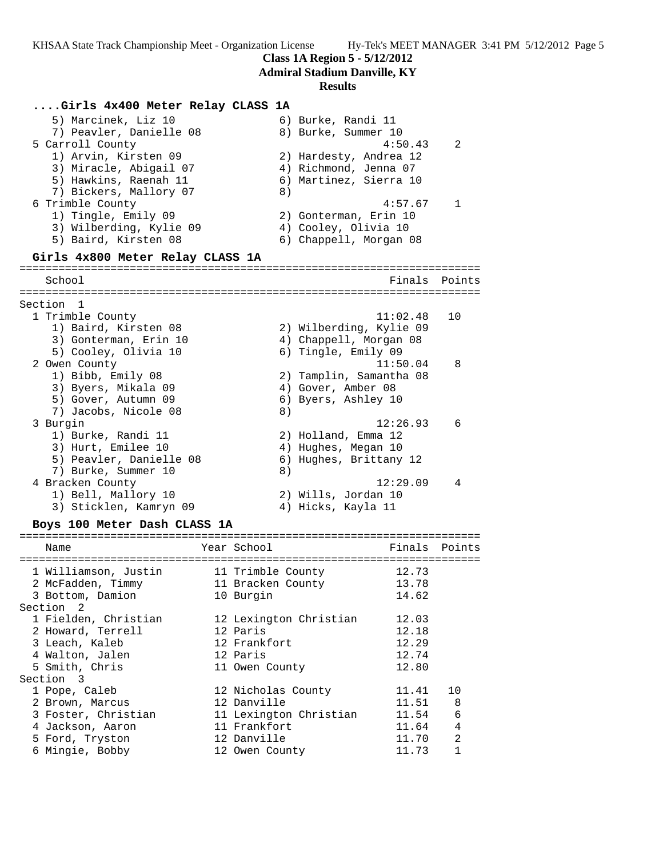**Class 1A Region 5 - 5/12/2012**

**Admiral Stadium Danville, KY**

#### **Results**

#### **....Girls 4x400 Meter Relay CLASS 1A**

5) Marcinek, Liz 10 (6) Burke, Randi 11 7) Peavler, Danielle 08 8) Burke, Summer 10 5 Carroll County 4:50.43 2 1) Arvin, Kirsten 09 2) Hardesty, Andrea 12 3) Miracle, Abigail 07 4) Richmond, Jenna 07 5) Hawkins, Raenah 11 6) Martinez, Sierra 10 7) Bickers, Mallory 07 8) 6 Trimble County 4:57.67 1 1) Tingle, Emily 09 2) Gonterman, Erin 10 3) Wilberding, Kylie 09  $\hskip1cm$  4) Cooley, Olivia 10 5) Baird, Kirsten 08 6) Chappell, Morgan 08 **Girls 4x800 Meter Relay CLASS 1A** ======================================================================= School **Finals** Points ======================================================================= Section 1 1 Trimble County 11:02.48 10 1) Baird, Kirsten 08 2) Wilberding, Kylie 09 3) Gonterman, Erin 10 4) Chappell, Morgan 08 5) Cooley, Olivia 10 (6) Tingle, Emily 09 2 Owen County 11:50.04 8 1) Bibb, Emily 08 2) Tamplin, Samantha 08 3) Byers, Mikala 09 (4) Gover, Amber 08 5) Gover, Autumn 09 6) Byers, Ashley 10 7) Jacobs, Nicole 08 8) 3 Burgin 12:26.93 6 1) Burke, Randi 11 2) Holland, Emma 12 3) Hurt, Emilee 10 4) Hughes, Megan 10 5) Peavler, Danielle 08 6) Hughes, Brittany 12 7) Burke, Summer 10 8) 4 Bracken County 12:29.09 4 1) Bell, Mallory 10 2) Wills, Jordan 10 3) Sticklen, Kamryn 09 4) Hicks, Kayla 11

## **Boys 100 Meter Dash CLASS 1A**

======================================================================= Name Year School Finals Points ======================================================================= 1 Williamson, Justin 11 Trimble County 12.73 2 McFadden, Timmy 11 Bracken County 13.78 3 Bottom, Damion 10 Burgin 14.62 Section 2 1 Fielden, Christian 12 Lexington Christian 12.03 2 Howard, Terrell 12 Paris 12.18 3 Leach, Kaleb 12 Frankfort 12.29 4 Walton, Jalen 12 Paris 12.74 5 Smith, Chris 11 Owen County 12.80 Section 3 1 Pope, Caleb 12 Nicholas County 11.41 10 2 Brown, Marcus 12 Danville 11.51 8 3 Foster, Christian 11 Lexington Christian 11.54 6 4 Jackson, Aaron 11 Frankfort 11.64 4 5 Ford, Tryston 12 Danville 11.70 2 6 Mingie, Bobby 12 Owen County 11.73 1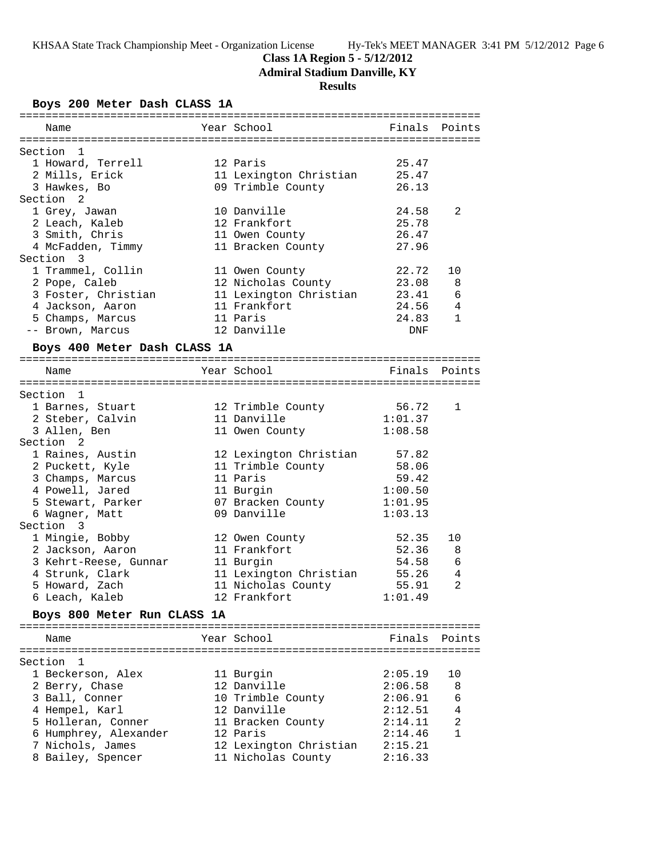# **Class 1A Region 5 - 5/12/2012**

**Admiral Stadium Danville, KY**

# **Results**

## **Boys 200 Meter Dash CLASS 1A**

| Name                         | Year School            | Finals        | Points         |
|------------------------------|------------------------|---------------|----------------|
|                              |                        |               |                |
| Section 1                    |                        |               |                |
| 1 Howard, Terrell            | 12 Paris               | 25.47         |                |
| 2 Mills, Erick               | 11 Lexington Christian | 25.47         |                |
| 3 Hawkes, Bo                 | 09 Trimble County      | 26.13         |                |
| Section 2                    |                        |               |                |
| 1 Grey, Jawan                | 10 Danville            | 24.58         | 2              |
| 2 Leach, Kaleb               | 12 Frankfort           | 25.78         |                |
| 3 Smith, Chris               | 11 Owen County         | 26.47         |                |
| 4 McFadden, Timmy            | 11 Bracken County      | 27.96         |                |
| Section 3                    |                        |               |                |
| 1 Trammel, Collin            | 11 Owen County         | 22.72         | 10             |
| 2 Pope, Caleb                | 12 Nicholas County     | 23.08         | 8              |
| 3 Foster, Christian          | 11 Lexington Christian | 23.41         | 6              |
| 4 Jackson, Aaron             | 11 Frankfort           | 24.56         | 4              |
| 5 Champs, Marcus             | 11 Paris               | 24.83         | 1              |
| -- Brown, Marcus             | 12 Danville            | DNF           |                |
|                              |                        |               |                |
| Boys 400 Meter Dash CLASS 1A |                        |               |                |
|                              |                        |               |                |
| Name                         | Year School            | Finals        | Points         |
|                              |                        |               |                |
| Section 1                    |                        |               |                |
| 1 Barnes, Stuart             | 12 Trimble County      | 56.72         | 1              |
| 2 Steber, Calvin             | 11 Danville            | 1:01.37       |                |
| 3 Allen, Ben                 | 11 Owen County         | 1:08.58       |                |
| Section <sub>2</sub>         |                        |               |                |
| 1 Raines, Austin             | 12 Lexington Christian | 57.82         |                |
| 2 Puckett, Kyle              | 11 Trimble County      | 58.06         |                |
| 3 Champs, Marcus             | 11 Paris               | 59.42         |                |
| 4 Powell, Jared              | 11 Burgin              | 1:00.50       |                |
| 5 Stewart, Parker            | 07 Bracken County      | 1:01.95       |                |
| 6 Wagner, Matt               | 09 Danville            | 1:03.13       |                |
| Section 3                    |                        |               |                |
| 1 Mingie, Bobby              | 12 Owen County         | 52.35         | 10             |
| 2 Jackson, Aaron             | 11 Frankfort           | 52.36         | 8              |
| 3 Kehrt-Reese, Gunnar        | 11 Burgin              | 54.58         | 6              |
| 4 Strunk, Clark              | 11 Lexington Christian | 55.26         | 4              |
| 5 Howard, Zach               | 11 Nicholas County     | 55.91         | $\overline{2}$ |
| 6 Leach, Kaleb               | 12 Frankfort           | 1:01.49       |                |
| Boys 800 Meter Run CLASS 1A  |                        |               |                |
|                              |                        |               |                |
| Name                         | Year School            | Finals Points |                |
| Section 1                    |                        |               |                |
| 1 Beckerson, Alex            | 11 Burgin              | 2:05.19       | 10             |
| 2 Berry, Chase               | 12 Danville            | 2:06.58       | 8              |
| 3 Ball, Conner               | 10 Trimble County      | 2:06.91       | 6              |
| 4 Hempel, Karl               | 12 Danville            | 2:12.51       | 4              |
| 5 Holleran, Conner           | 11 Bracken County      | 2:14.11       | $\overline{2}$ |
| 6 Humphrey, Alexander        | 12 Paris               | 2:14.46       | 1              |
|                              |                        |               |                |
| 7 Nichols, James             | 12 Lexington Christian | 2:15.21       |                |
| 8 Bailey, Spencer            | 11 Nicholas County     | 2:16.33       |                |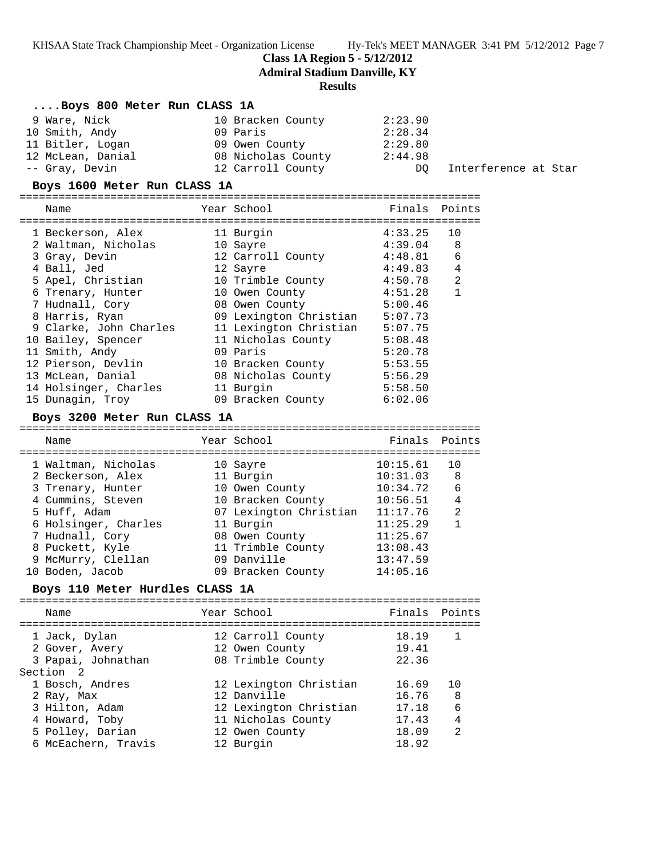**Class 1A Region 5 - 5/12/2012**

**Admiral Stadium Danville, KY**

## **Results**

| Boys 800 Meter Run CLASS 1A  |                    |         |                      |
|------------------------------|--------------------|---------|----------------------|
| 9 Ware, Nick                 | 10 Bracken County  | 2:23.90 |                      |
| 10 Smith, Andy               | 09 Paris           | 2:28.34 |                      |
| 11 Bitler, Logan             | 09 Owen County     | 2:29.80 |                      |
| 12 McLean, Danial            | 08 Nicholas County | 2:44.98 |                      |
| -- Gray, Devin               | 12 Carroll County  | DO.     | Interference at Star |
| Boys 1600 Meter Run CLASS 1A |                    |         |                      |

=======================================================================

| Name                   | Year School            | Finals  | Points |
|------------------------|------------------------|---------|--------|
| 1 Beckerson, Alex      | 11 Burgin              | 4:33.25 | 10     |
| 2 Waltman, Nicholas    | 10 Sayre               | 4:39.04 | 8      |
| 3 Gray, Devin          | 12 Carroll County      | 4:48.81 | 6      |
| 4 Ball, Jed            | 12 Sayre               | 4:49.83 | 4      |
| 5 Apel, Christian      | 10 Trimble County      | 4:50.78 | 2      |
| 6 Trenary, Hunter      | 10 Owen County         | 4:51.28 | 1      |
| 7 Hudnall, Cory        | 08 Owen County         | 5:00.46 |        |
| 8 Harris, Ryan         | 09 Lexington Christian | 5:07.73 |        |
| 9 Clarke, John Charles | 11 Lexington Christian | 5:07.75 |        |
| 10 Bailey, Spencer     | 11 Nicholas County     | 5:08.48 |        |
| 11 Smith, Andy         | 09 Paris               | 5:20.78 |        |
| 12 Pierson, Devlin     | 10 Bracken County      | 5:53.55 |        |
| 13 McLean, Danial      | 08 Nicholas County     | 5:56.29 |        |
| 14 Holsinger, Charles  | 11 Burgin              | 5:58.50 |        |
| 15 Dunagin, Troy       | 09 Bracken County      | 6:02.06 |        |

## **Boys 3200 Meter Run CLASS 1A**

| Name                 | Year School            | Finals Points |                |
|----------------------|------------------------|---------------|----------------|
| 1 Waltman, Nicholas  | 10 Sayre               | 10:15.61      | 10             |
| 2 Beckerson, Alex    | 11 Burgin              | 10:31.03      | 8              |
| 3 Trenary, Hunter    | 10 Owen County         | 10:34.72      | 6              |
| 4 Cummins, Steven    | 10 Bracken County      | 10:56.51      | 4              |
| 5 Huff, Adam         | 07 Lexington Christian | 11:17.76      | $\mathfrak{D}$ |
| 6 Holsinger, Charles | 11 Burgin              | 11:25.29      |                |
| 7 Hudnall, Cory      | 08 Owen County         | 11:25.67      |                |
| 8 Puckett, Kyle      | 11 Trimble County      | 13:08.43      |                |
| 9 McMurry, Clellan   | 09 Danville            | 13:47.59      |                |
| 10 Boden, Jacob      | 09 Bracken County      | 14:05.16      |                |
|                      |                        |               |                |

## **Boys 110 Meter Hurdles CLASS 1A**

| Year School<br>Name<br>18.19<br>1 Jack, Dylan<br>12 Carroll County<br>2 Gover, Avery<br>19.41<br>12 Owen County<br>3 Papai, Johnathan<br>08 Trimble County<br>22.36<br>Section 2<br>12 Lexington Christian<br>1 Bosch, Andres<br>16.69<br>12 Danville<br>16.76<br>2 Ray, Max<br>12 Lexington Christian<br>3 Hilton, Adam | Finals Points                          |
|--------------------------------------------------------------------------------------------------------------------------------------------------------------------------------------------------------------------------------------------------------------------------------------------------------------------------|----------------------------------------|
|                                                                                                                                                                                                                                                                                                                          |                                        |
|                                                                                                                                                                                                                                                                                                                          |                                        |
| 4 Howard, Toby<br>11 Nicholas County<br>17.43<br>5 Polley, Darian<br>18.09<br>12 Owen County<br>6 McEachern, Travis<br>18.92<br>12 Burgin                                                                                                                                                                                | 8<br>6<br>17.18<br>4<br>$\mathfrak{D}$ |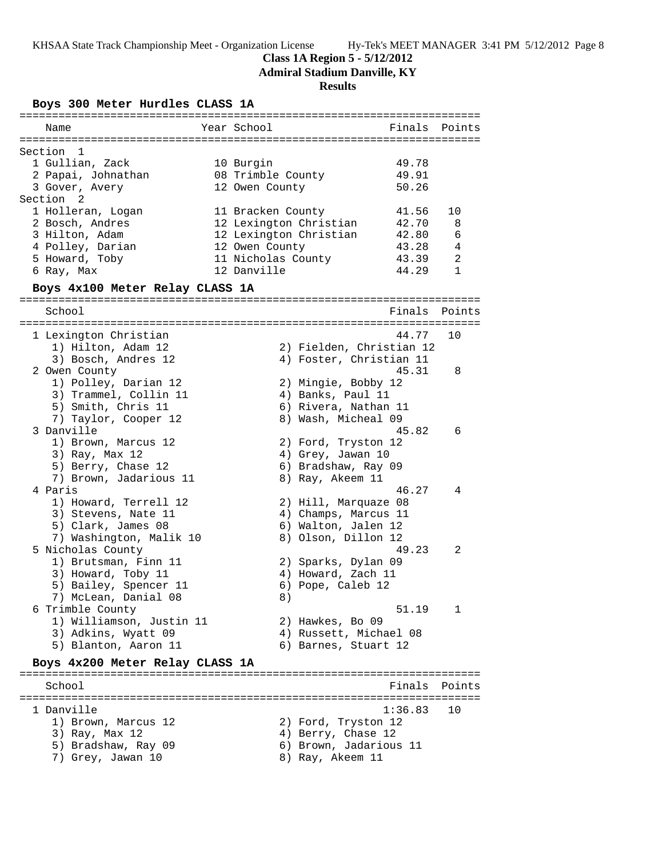**Class 1A Region 5 - 5/12/2012**

**Admiral Stadium Danville, KY**

## **Results**

**Boys 300 Meter Hurdles CLASS 1A**

| Name                             | Year School        |                          | Finals         | Points      |
|----------------------------------|--------------------|--------------------------|----------------|-------------|
|                                  |                    |                          |                |             |
| Section<br>-1<br>1 Gullian, Zack |                    |                          |                |             |
|                                  | 10 Burgin          |                          | 49.78<br>49.91 |             |
| 2 Papai, Johnathan               | 08 Trimble County  |                          | 50.26          |             |
| 3 Gover, Avery<br>Section 2      | 12 Owen County     |                          |                |             |
| 1 Holleran, Logan                | 11 Bracken County  |                          | 41.56          | 10          |
| 2 Bosch, Andres                  |                    | 12 Lexington Christian   | 42.70          | 8           |
| 3 Hilton, Adam                   |                    | 12 Lexington Christian   | 42.80          | 6           |
| 4 Polley, Darian                 | 12 Owen County     |                          | 43.28          | 4           |
| 5 Howard, Toby                   | 11 Nicholas County |                          | 43.39          | 2           |
| 6 Ray, Max                       | 12 Danville        |                          | 44.29          | $\mathbf 1$ |
|                                  |                    |                          |                |             |
| Boys 4x100 Meter Relay CLASS 1A  |                    |                          |                |             |
| School                           |                    |                          | Finals         | Points      |
| 1 Lexington Christian            |                    |                          | 44.77          | 10          |
| 1) Hilton, Adam 12               |                    | 2) Fielden, Christian 12 |                |             |
| 3) Bosch, Andres 12              |                    | 4) Foster, Christian 11  |                |             |
| 2 Owen County                    |                    |                          | 45.31          | 8           |
| 1) Polley, Darian 12             |                    | 2) Mingie, Bobby 12      |                |             |
| 3) Trammel, Collin 11            |                    | 4) Banks, Paul 11        |                |             |
| 5) Smith, Chris 11               |                    | 6) Rivera, Nathan 11     |                |             |
| 7) Taylor, Cooper 12             |                    | 8) Wash, Micheal 09      |                |             |
| 3 Danville                       |                    |                          | 45.82          | 6           |
| 1) Brown, Marcus 12              |                    | 2) Ford, Tryston 12      |                |             |
| 3) Ray, Max 12                   |                    | 4) Grey, Jawan 10        |                |             |
| 5) Berry, Chase 12               |                    | 6) Bradshaw, Ray 09      |                |             |
| 7) Brown, Jadarious 11           |                    | 8) Ray, Akeem 11         |                |             |
| 4 Paris                          |                    |                          | 46.27          | 4           |
| 1) Howard, Terrell 12            |                    | 2) Hill, Marquaze 08     |                |             |
| 3) Stevens, Nate 11              |                    | 4) Champs, Marcus 11     |                |             |
| 5) Clark, James 08               |                    | 6) Walton, Jalen 12      |                |             |
| 7) Washington, Malik 10          |                    | 8) Olson, Dillon 12      |                |             |
| 5 Nicholas County                |                    |                          | 49.23          | 2           |
| 1) Brutsman, Finn 11             |                    | 2) Sparks, Dylan 09      |                |             |
| 3) Howard, Toby 11               |                    | 4) Howard, Zach 11       |                |             |
| 5) Bailey, Spencer 11            |                    | 6) Pope, Caleb 12        |                |             |
| 7) McLean, Danial 08             |                    | 8)                       |                |             |
| 6 Trimble County                 |                    |                          | 51.19          | 1           |
| 1) Williamson, Justin 11         |                    | 2) Hawkes, Bo 09         |                |             |
| 3) Adkins, Wyatt 09              |                    | 4) Russett, Michael 08   |                |             |
| 5) Blanton, Aaron 11             |                    | 6) Barnes, Stuart 12     |                |             |
| Boys 4x200 Meter Relay CLASS 1A  |                    |                          |                |             |
| School                           |                    |                          | Finals         | Points      |
|                                  |                    |                          |                |             |
| 1 Danville                       |                    |                          | 1:36.83        | 10          |
| 1) Brown, Marcus 12              |                    | 2) Ford, Tryston 12      |                |             |
| 3) Ray, Max 12                   |                    | 4) Berry, Chase 12       |                |             |
| 5) Bradshaw, Ray 09              |                    | 6) Brown, Jadarious 11   |                |             |
| 7) Grey, Jawan 10                |                    | 8) Ray, Akeem 11         |                |             |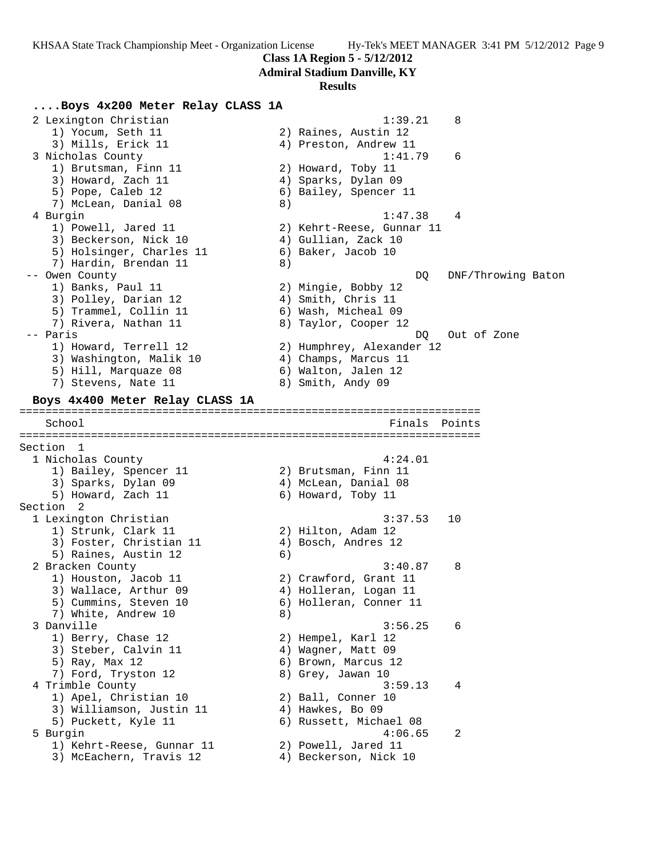**Class 1A Region 5 - 5/12/2012**

**Admiral Stadium Danville, KY**

#### **Results**

## **....Boys 4x200 Meter Relay CLASS 1A**

2 Lexington Christian 1:39.21 8 1) Yocum, Seth 11 2) Raines, Austin 12 3) Mills, Erick 11 4) Preston, Andrew 11 3 Nicholas County 1:41.79 6 1) Brutsman, Finn 11 2) Howard, Toby 11 3) Howard, Zach 11 (4) Sparks, Dylan 09 5) Pope, Caleb 12 6) Bailey, Spencer 11 7) McLean, Danial 08 8) 4 Burgin 1:47.38 4 1) Powell, Jared 11 2) Kehrt-Reese, Gunnar 11 3) Beckerson, Nick 10 (4) Gullian, Zack 10 5) Holsinger, Charles 11 (6) Baker, Jacob 10 7) Hardin, Brendan 11 (8) -- Owen County and DQ DNF/Throwing Baton (DQ DNF/Throwing Baton ) 1) Banks, Paul 11 2) Mingie, Bobby 12 3) Polley, Darian 12 4) Smith, Chris 11 5) Trammel, Collin 11 6) Wash, Micheal 09 7) Rivera, Nathan 11  $\hphantom{\text{2.65}$  8) Taylor, Cooper 12 -- Paris DQ Out of Zone 1) Howard, Terrell 12 2) Humphrey, Alexander 12 3) Washington, Malik 10  $\hskip1cm$  4) Champs, Marcus 11 5) Hill, Marquaze 08 6) Walton, Jalen 12 7) Stevens, Nate 11 8) Smith, Andy 09 **Boys 4x400 Meter Relay CLASS 1A** ======================================================================= Finals Points ======================================================================= Section 1<br>1 Nicholas County 1 Nicholas County 4:24.01 1) Bailey, Spencer 11 2) Brutsman, Finn 11 3) Sparks, Dylan 09 (4) McLean, Danial 08 5) Howard, Zach 11 6) Howard, Toby 11 Section 2 1 Lexington Christian 3:37.53 10 1) Strunk, Clark 11 2) Hilton, Adam 12 3) Foster, Christian 11 4) Bosch, Andres 12 5) Raines, Austin 12 (6) 2 Bracken County 3:40.87 8 1) Houston, Jacob 11 2) Crawford, Grant 11 3) Wallace, Arthur 09  $\hskip1cm \hskip1cm 4$ ) Holleran, Logan 11 5) Cummins, Steven 10 (6) Holleran, Conner 11 7) White, Andrew 10 8) 3 Danville 3:56.25 6 1) Berry, Chase 12 2) Hempel, Karl 12 3) Steber, Calvin 11 (4) Wagner, Matt 09 5) Ray, Max 12 6) Brown, Marcus 12 7) Ford, Tryston 12 and 8) Grey, Jawan 10 4 Trimble County 3:59.13 4 1) Apel, Christian 10 2) Ball, Conner 10 3) Williamson, Justin 11 (4) Hawkes, Bo 09 5) Puckett, Kyle 11 6) Russett, Michael 08 5 Burgin 4:06.65 2 1) Kehrt-Reese, Gunnar 11 2) Powell, Jared 11 3) McEachern, Travis 12 4) Beckerson, Nick 10